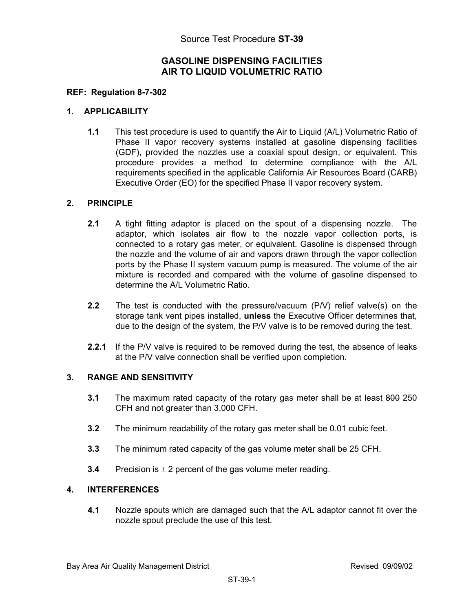## **GASOLINE DISPENSING FACILITIES AIR TO LIQUID VOLUMETRIC RATIO**

## **REF: Regulation 8-7-302**

## **1. APPLICABILITY**

**1.1** This test procedure is used to quantify the Air to Liquid (A/L) Volumetric Ratio of Phase II vapor recovery systems installed at gasoline dispensing facilities (GDF), provided the nozzles use a coaxial spout design, or equivalent. This procedure provides a method to determine compliance with the A/L requirements specified in the applicable California Air Resources Board (CARB) Executive Order (EO) for the specified Phase II vapor recovery system.

## **2. PRINCIPLE**

- **2.1** A tight fitting adaptor is placed on the spout of a dispensing nozzle. The adaptor, which isolates air flow to the nozzle vapor collection ports, is connected to a rotary gas meter, or equivalent. Gasoline is dispensed through the nozzle and the volume of air and vapors drawn through the vapor collection ports by the Phase II system vacuum pump is measured. The volume of the air mixture is recorded and compared with the volume of gasoline dispensed to determine the A/L Volumetric Ratio.
- **2.2** The test is conducted with the pressure/vacuum (P/V) relief valve(s) on the storage tank vent pipes installed, **unless** the Executive Officer determines that, due to the design of the system, the P/V valve is to be removed during the test.
- **2.2.1** If the P/V valve is required to be removed during the test, the absence of leaks at the P/V valve connection shall be verified upon completion.

## **3. RANGE AND SENSITIVITY**

- **3.1** The maximum rated capacity of the rotary gas meter shall be at least 800 250 CFH and not greater than 3,000 CFH.
- **3.2** The minimum readability of the rotary gas meter shall be 0.01 cubic feet.
- **3.3** The minimum rated capacity of the gas volume meter shall be 25 CFH.
- **3.4** Precision is  $\pm 2$  percent of the gas volume meter reading.

## **4. INTERFERENCES**

**4.1** Nozzle spouts which are damaged such that the A/L adaptor cannot fit over the nozzle spout preclude the use of this test.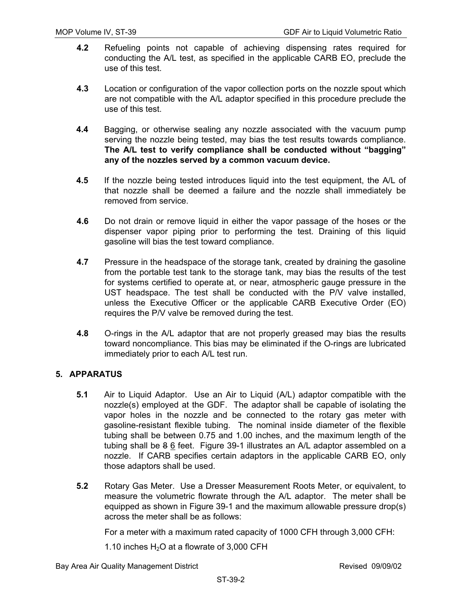- **4.2** Refueling points not capable of achieving dispensing rates required for conducting the A/L test, as specified in the applicable CARB EO, preclude the use of this test.
- **4.3** Location or configuration of the vapor collection ports on the nozzle spout which are not compatible with the A/L adaptor specified in this procedure preclude the use of this test.
- **4.4** Bagging, or otherwise sealing any nozzle associated with the vacuum pump serving the nozzle being tested, may bias the test results towards compliance. **The A/L test to verify compliance shall be conducted without "bagging" any of the nozzles served by a common vacuum device.**
- **4.5** If the nozzle being tested introduces liquid into the test equipment, the A/L of that nozzle shall be deemed a failure and the nozzle shall immediately be removed from service.
- **4.6** Do not drain or remove liquid in either the vapor passage of the hoses or the dispenser vapor piping prior to performing the test. Draining of this liquid gasoline will bias the test toward compliance.
- **4.7** Pressure in the headspace of the storage tank, created by draining the gasoline from the portable test tank to the storage tank, may bias the results of the test for systems certified to operate at, or near, atmospheric gauge pressure in the UST headspace. The test shall be conducted with the P/V valve installed, unless the Executive Officer or the applicable CARB Executive Order (EO) requires the P/V valve be removed during the test.
- **4.8** O-rings in the A/L adaptor that are not properly greased may bias the results toward noncompliance. This bias may be eliminated if the O-rings are lubricated immediately prior to each A/L test run.

## **5. APPARATUS**

- **5.1** Air to Liquid Adaptor. Use an Air to Liquid (A/L) adaptor compatible with the nozzle(s) employed at the GDF. The adaptor shall be capable of isolating the vapor holes in the nozzle and be connected to the rotary gas meter with gasoline-resistant flexible tubing. The nominal inside diameter of the flexible tubing shall be between 0.75 and 1.00 inches, and the maximum length of the tubing shall be 8 6 feet. Figure 39-1 illustrates an A/L adaptor assembled on a nozzle. If CARB specifies certain adaptors in the applicable CARB EO, only those adaptors shall be used.
- **5.2** Rotary Gas Meter. Use a Dresser Measurement Roots Meter, or equivalent, to measure the volumetric flowrate through the A/L adaptor. The meter shall be equipped as shown in Figure 39-1 and the maximum allowable pressure drop(s) across the meter shall be as follows:

For a meter with a maximum rated capacity of 1000 CFH through 3,000 CFH:

1.10 inches  $H_2O$  at a flowrate of 3,000 CFH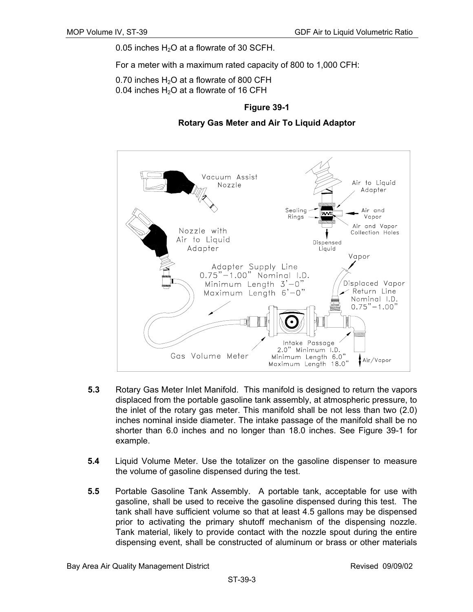0.05 inches  $H<sub>2</sub>O$  at a flowrate of 30 SCFH.

For a meter with a maximum rated capacity of 800 to 1,000 CFH:

0.70 inches  $H<sub>2</sub>O$  at a flowrate of 800 CFH 0.04 inches  $H_2O$  at a flowrate of 16 CFH

## **Figure 39-1**

**Rotary Gas Meter and Air To Liquid Adaptor** 



- **5.3** Rotary Gas Meter Inlet Manifold. This manifold is designed to return the vapors displaced from the portable gasoline tank assembly, at atmospheric pressure, to the inlet of the rotary gas meter. This manifold shall be not less than two (2.0) inches nominal inside diameter. The intake passage of the manifold shall be no shorter than 6.0 inches and no longer than 18.0 inches. See Figure 39-1 for example.
- **5.4** Liquid Volume Meter. Use the totalizer on the gasoline dispenser to measure the volume of gasoline dispensed during the test.
- **5.5** Portable Gasoline Tank Assembly. A portable tank, acceptable for use with gasoline, shall be used to receive the gasoline dispensed during this test. The tank shall have sufficient volume so that at least 4.5 gallons may be dispensed prior to activating the primary shutoff mechanism of the dispensing nozzle. Tank material, likely to provide contact with the nozzle spout during the entire dispensing event, shall be constructed of aluminum or brass or other materials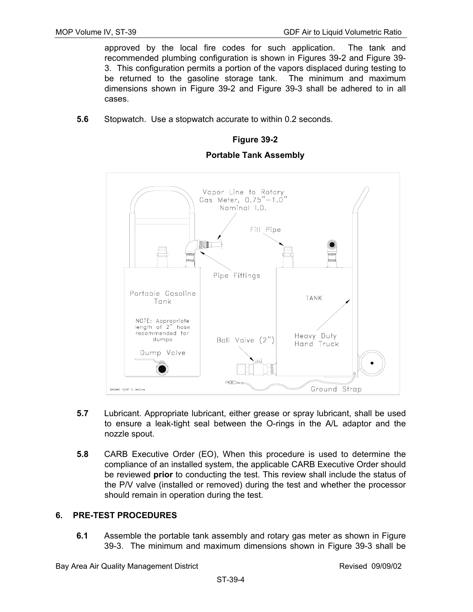approved by the local fire codes for such application. The tank and recommended plumbing configuration is shown in Figures 39-2 and Figure 39- 3. This configuration permits a portion of the vapors displaced during testing to be returned to the gasoline storage tank. The minimum and maximum dimensions shown in Figure 39-2 and Figure 39-3 shall be adhered to in all cases.

**5.6** Stopwatch. Use a stopwatch accurate to within 0.2 seconds.

### **Figure 39-2**

#### **Portable Tank Assembly**



- **5.7** Lubricant. Appropriate lubricant, either grease or spray lubricant, shall be used to ensure a leak-tight seal between the O-rings in the A/L adaptor and the nozzle spout.
- **5.8** CARB Executive Order (EO), When this procedure is used to determine the compliance of an installed system, the applicable CARB Executive Order should be reviewed **prior** to conducting the test. This review shall include the status of the P/V valve (installed or removed) during the test and whether the processor should remain in operation during the test.

### **6. PRE-TEST PROCEDURES**

**6.1** Assemble the portable tank assembly and rotary gas meter as shown in Figure 39-3. The minimum and maximum dimensions shown in Figure 39-3 shall be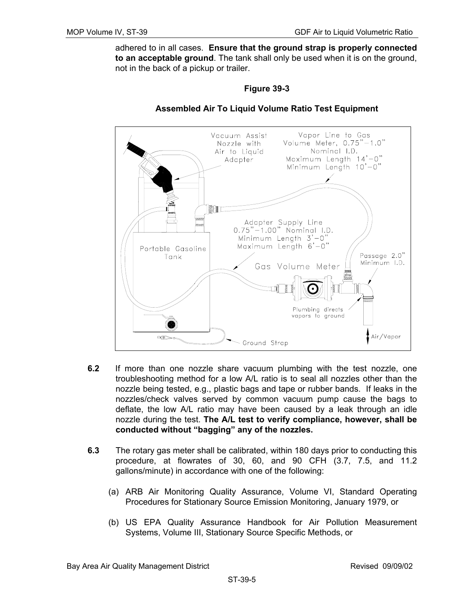adhered to in all cases. **Ensure that the ground strap is properly connected to an acceptable ground**. The tank shall only be used when it is on the ground, not in the back of a pickup or trailer.

### **Figure 39-3**



### **Assembled Air To Liquid Volume Ratio Test Equipment**

- **6.2** If more than one nozzle share vacuum plumbing with the test nozzle, one troubleshooting method for a low A/L ratio is to seal all nozzles other than the nozzle being tested, e.g., plastic bags and tape or rubber bands. If leaks in the nozzles/check valves served by common vacuum pump cause the bags to deflate, the low A/L ratio may have been caused by a leak through an idle nozzle during the test. **The A/L test to verify compliance, however, shall be conducted without "bagging" any of the nozzles.**
- **6.3** The rotary gas meter shall be calibrated, within 180 days prior to conducting this procedure, at flowrates of 30, 60, and 90 CFH (3.7, 7.5, and 11.2 gallons/minute) in accordance with one of the following:
	- (a) ARB Air Monitoring Quality Assurance, Volume VI, Standard Operating Procedures for Stationary Source Emission Monitoring, January 1979, or
	- (b) US EPA Quality Assurance Handbook for Air Pollution Measurement Systems, Volume III, Stationary Source Specific Methods, or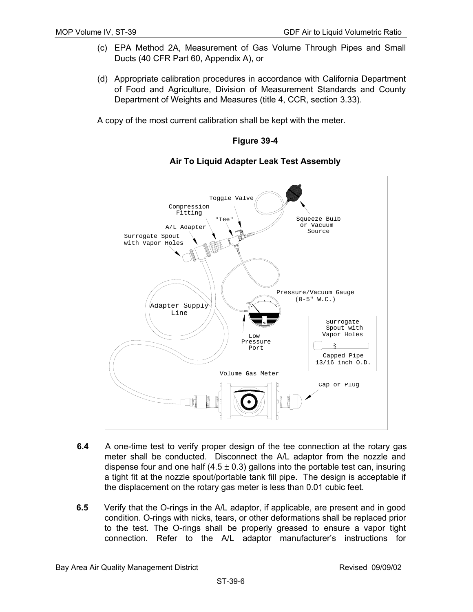- (c) EPA Method 2A, Measurement of Gas Volume Through Pipes and Small Ducts (40 CFR Part 60, Appendix A), or
- (d) Appropriate calibration procedures in accordance with California Department of Food and Agriculture, Division of Measurement Standards and County Department of Weights and Measures (title 4, CCR, section 3.33).

A copy of the most current calibration shall be kept with the meter.

**Figure 39-4** 



**Air To Liquid Adapter Leak Test Assembly**

- meter shall be conducted. Disconnect the A/L adaptor from the nozzle and a tight fit at the nozzle spout/portable tank fill pipe. The design is acceptable if **6.4** A one-time test to verify proper design of the tee connection at the rotary gas dispense four and one half  $(4.5 \pm 0.3)$  gallons into the portable test can, insuring the displacement on the rotary gas meter is less than 0.01 cubic feet.
- **6.5** Verify that the O-rings in the A/L adaptor, if applicable, are present and in good condition. O-rings with nicks, tears, or other deformations shall be replaced prior to the test. The O-rings shall be properly greased to ensure a vapor tight connection. Refer to the A/L adaptor manufacturer's instructions for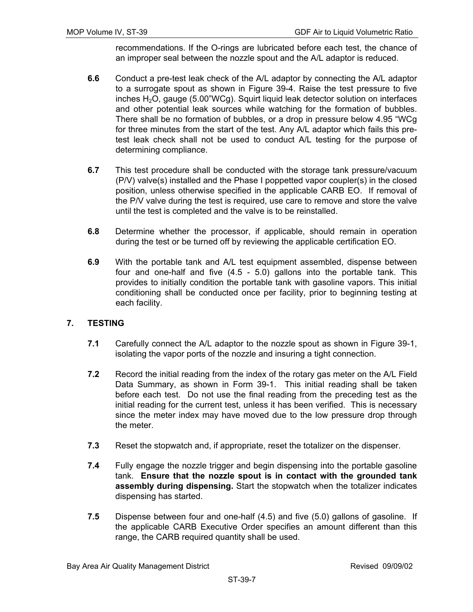recommendations. If the O-rings are lubricated before each test, the chance of an improper seal between the nozzle spout and the A/L adaptor is reduced.

- **6.6** Conduct a pre-test leak check of the A/L adaptor by connecting the A/L adaptor to a surrogate spout as shown in Figure 39-4. Raise the test pressure to five inches  $H_2O$ , gauge (5.00"WCg). Squirt liquid leak detector solution on interfaces and other potential leak sources while watching for the formation of bubbles. There shall be no formation of bubbles, or a drop in pressure below 4.95 "WCg for three minutes from the start of the test. Any A/L adaptor which fails this pretest leak check shall not be used to conduct A/L testing for the purpose of determining compliance.
- **6.7** This test procedure shall be conducted with the storage tank pressure/vacuum (P/V) valve(s) installed and the Phase I poppetted vapor coupler(s) in the closed position, unless otherwise specified in the applicable CARB EO. If removal of the P/V valve during the test is required, use care to remove and store the valve until the test is completed and the valve is to be reinstalled.
- **6.8** Determine whether the processor, if applicable, should remain in operation during the test or be turned off by reviewing the applicable certification EO.
- **6.9** With the portable tank and A/L test equipment assembled, dispense between four and one-half and five (4.5 - 5.0) gallons into the portable tank. This provides to initially condition the portable tank with gasoline vapors. This initial conditioning shall be conducted once per facility, prior to beginning testing at each facility.

## **7. TESTING**

- **7.1** Carefully connect the A/L adaptor to the nozzle spout as shown in Figure 39-1, isolating the vapor ports of the nozzle and insuring a tight connection.
- **7.2** Record the initial reading from the index of the rotary gas meter on the A/L Field Data Summary, as shown in Form 39-1. This initial reading shall be taken before each test. Do not use the final reading from the preceding test as the initial reading for the current test, unless it has been verified. This is necessary since the meter index may have moved due to the low pressure drop through the meter.
- **7.3** Reset the stopwatch and, if appropriate, reset the totalizer on the dispenser.
- **7.4** Fully engage the nozzle trigger and begin dispensing into the portable gasoline tank. **Ensure that the nozzle spout is in contact with the grounded tank assembly during dispensing.** Start the stopwatch when the totalizer indicates dispensing has started.
- **7.5** Dispense between four and one-half (4.5) and five (5.0) gallons of gasoline. If the applicable CARB Executive Order specifies an amount different than this range, the CARB required quantity shall be used.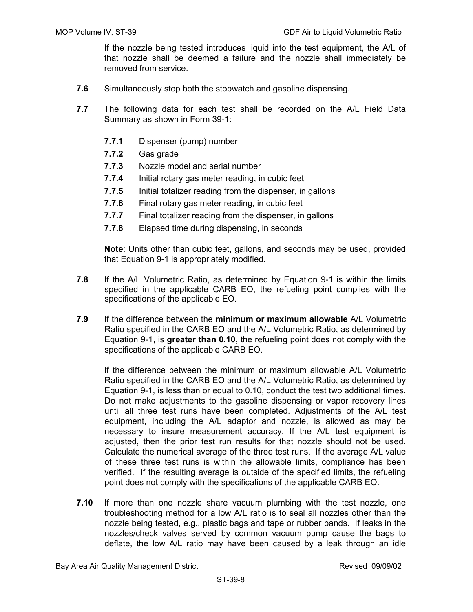If the nozzle being tested introduces liquid into the test equipment, the A/L of that nozzle shall be deemed a failure and the nozzle shall immediately be removed from service.

- **7.6** Simultaneously stop both the stopwatch and gasoline dispensing.
- **7.7** The following data for each test shall be recorded on the A/L Field Data Summary as shown in Form 39-1:
	- **7.7.1** Dispenser (pump) number
	- **7.7.2** Gas grade
	- **7.7.3** Nozzle model and serial number
	- **7.7.4** Initial rotary gas meter reading, in cubic feet
	- **7.7.5** Initial totalizer reading from the dispenser, in gallons
	- **7.7.6** Final rotary gas meter reading, in cubic feet
	- **7.7.7** Final totalizer reading from the dispenser, in gallons
	- **7.7.8** Elapsed time during dispensing, in seconds

 **Note**: Units other than cubic feet, gallons, and seconds may be used, provided that Equation 9-1 is appropriately modified.

- **7.8** If the A/L Volumetric Ratio, as determined by Equation 9-1 is within the limits specified in the applicable CARB EO, the refueling point complies with the specifications of the applicable EO.
- **7.9** If the difference between the **minimum or maximum allowable** A/L Volumetric Ratio specified in the CARB EO and the A/L Volumetric Ratio, as determined by Equation 9-1, is **greater than 0.10**, the refueling point does not comply with the specifications of the applicable CARB EO.

If the difference between the minimum or maximum allowable A/L Volumetric Ratio specified in the CARB EO and the A/L Volumetric Ratio, as determined by Equation 9-1, is less than or equal to 0.10, conduct the test two additional times. Do not make adjustments to the gasoline dispensing or vapor recovery lines until all three test runs have been completed. Adjustments of the A/L test equipment, including the A/L adaptor and nozzle, is allowed as may be necessary to insure measurement accuracy. If the A/L test equipment is adjusted, then the prior test run results for that nozzle should not be used. Calculate the numerical average of the three test runs. If the average A/L value of these three test runs is within the allowable limits, compliance has been verified. If the resulting average is outside of the specified limits, the refueling point does not comply with the specifications of the applicable CARB EO.

**7.10** If more than one nozzle share vacuum plumbing with the test nozzle, one troubleshooting method for a low A/L ratio is to seal all nozzles other than the nozzle being tested, e.g., plastic bags and tape or rubber bands. If leaks in the nozzles/check valves served by common vacuum pump cause the bags to deflate, the low A/L ratio may have been caused by a leak through an idle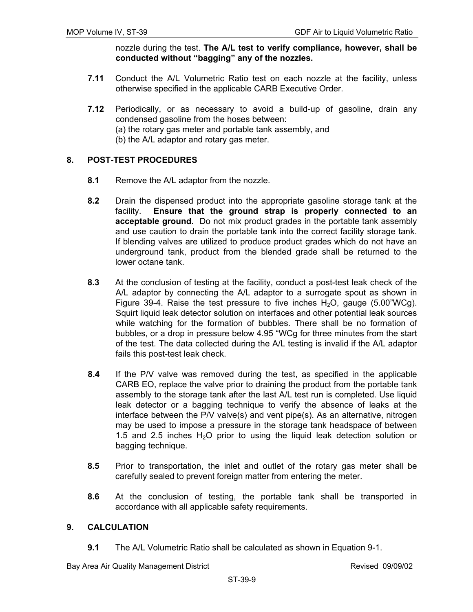nozzle during the test. **The A/L test to verify compliance, however, shall be conducted without "bagging" any of the nozzles.**

- **7.11** Conduct the A/L Volumetric Ratio test on each nozzle at the facility, unless otherwise specified in the applicable CARB Executive Order.
- **7.12** Periodically, or as necessary to avoid a build-up of gasoline, drain any condensed gasoline from the hoses between:
	- (a) the rotary gas meter and portable tank assembly, and
	- (b) the A/L adaptor and rotary gas meter.

## **8. POST-TEST PROCEDURES**

- **8.1** Remove the A/L adaptor from the nozzle.
- **8.2** Drain the dispensed product into the appropriate gasoline storage tank at the facility. **Ensure that the ground strap is properly connected to an acceptable ground.** Do not mix product grades in the portable tank assembly and use caution to drain the portable tank into the correct facility storage tank. If blending valves are utilized to produce product grades which do not have an underground tank, product from the blended grade shall be returned to the lower octane tank.
- **8.3** At the conclusion of testing at the facility, conduct a post-test leak check of the A/L adaptor by connecting the A/L adaptor to a surrogate spout as shown in Figure 39-4. Raise the test pressure to five inches  $H_2O$ , gauge (5.00"WCg). Squirt liquid leak detector solution on interfaces and other potential leak sources while watching for the formation of bubbles. There shall be no formation of bubbles, or a drop in pressure below 4.95 "WCg for three minutes from the start of the test. The data collected during the A/L testing is invalid if the A/L adaptor fails this post-test leak check.
- **8.4** If the P/V valve was removed during the test, as specified in the applicable CARB EO, replace the valve prior to draining the product from the portable tank assembly to the storage tank after the last A/L test run is completed. Use liquid leak detector or a bagging technique to verify the absence of leaks at the interface between the P/V valve(s) and vent pipe(s). As an alternative, nitrogen may be used to impose a pressure in the storage tank headspace of between 1.5 and 2.5 inches  $H_2O$  prior to using the liquid leak detection solution or bagging technique.
- **8.5** Prior to transportation, the inlet and outlet of the rotary gas meter shall be carefully sealed to prevent foreign matter from entering the meter.
- **8.6** At the conclusion of testing, the portable tank shall be transported in accordance with all applicable safety requirements.

## **9. CALCULATION**

**9.1** The A/L Volumetric Ratio shall be calculated as shown in Equation 9-1.

Bay Area Air Quality Management District **Revised 09/09/02** Revised 09/09/02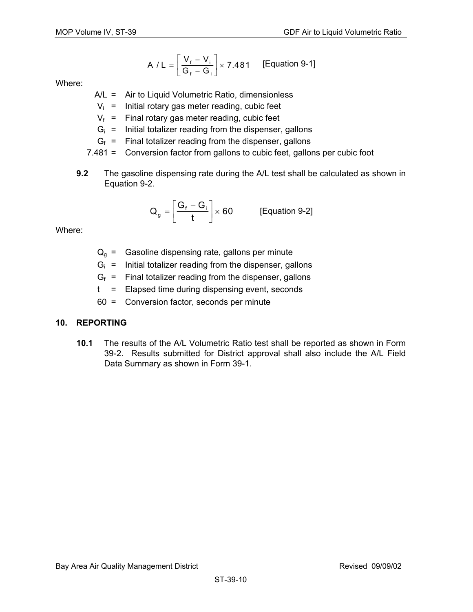A / L = 
$$
\left[\frac{V_f - V_i}{G_f - G_i}\right] \times 7.481
$$
 [Equation 9-1]

Where:

- A/L = Air to Liquid Volumetric Ratio, dimensionless
- $V_i$  = Initial rotary gas meter reading, cubic feet
- $V_f$  = Final rotary gas meter reading, cubic feet
- $G_i$  = Initial totalizer reading from the dispenser, gallons
- $G_f$  = Final totalizer reading from the dispenser, gallons
- 7.481 = Conversion factor from gallons to cubic feet, gallons per cubic foot
- **9.2** The gasoline dispensing rate during the A/L test shall be calculated as shown in Equation 9-2.

$$
Q_g = \left[\frac{G_f - G_i}{t}\right] \times 60
$$
 [Equation 9-2]

Where:

- $Q_q$  = Gasoline dispensing rate, gallons per minute
- $G_i$  = Initial totalizer reading from the dispenser, gallons
- $G_f$  = Final totalizer reading from the dispenser, gallons
- t = Elapsed time during dispensing event, seconds
- 60 = Conversion factor, seconds per minute

## **10. REPORTING**

**10.1** The results of the A/L Volumetric Ratio test shall be reported as shown in Form 39-2. Results submitted for District approval shall also include the A/L Field Data Summary as shown in Form 39-1.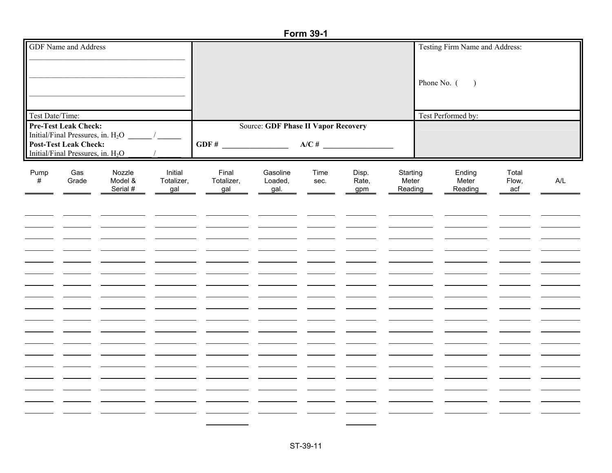#### **Form 39-1**

| <b>GDF</b> Name and Address |                                               |          |            |                                            |          |      |       |          | Testing Firm Name and Address: |       |     |
|-----------------------------|-----------------------------------------------|----------|------------|--------------------------------------------|----------|------|-------|----------|--------------------------------|-------|-----|
|                             |                                               |          |            |                                            |          |      |       |          |                                |       |     |
|                             |                                               |          |            |                                            |          |      |       |          |                                |       |     |
|                             |                                               |          |            |                                            |          |      |       |          |                                |       |     |
|                             |                                               |          |            |                                            |          |      |       |          | Phone No. (<br>$\big)$         |       |     |
|                             |                                               |          |            |                                            |          |      |       |          |                                |       |     |
|                             |                                               |          |            |                                            |          |      |       |          |                                |       |     |
| Test Date/Time:             |                                               |          |            |                                            |          |      |       |          | Test Performed by:             |       |     |
|                             | <b>Pre-Test Leak Check:</b>                   |          |            | <b>Source: GDF Phase II Vapor Recovery</b> |          |      |       |          |                                |       |     |
|                             | Initial/Final Pressures, in. $H_2O$           |          |            |                                            |          |      |       |          |                                |       |     |
|                             | <b>Post-Test Leak Check:</b>                  |          |            |                                            |          |      |       |          |                                |       |     |
|                             | Initial/Final Pressures, in. H <sub>2</sub> O |          |            |                                            |          |      |       |          |                                |       |     |
|                             |                                               |          |            |                                            |          |      |       |          |                                |       |     |
| Pump                        | Gas                                           | Nozzle   | Initial    | Final                                      | Gasoline | Time | Disp. | Starting | Ending                         | Total |     |
| #                           | Grade                                         | Model &  | Totalizer, | Totalizer,                                 | Loaded,  | sec. | Rate, | Meter    | Meter                          | Flow, | A/L |
|                             |                                               | Serial # | gal        | gal                                        | gal.     |      | gpm   | Reading  | Reading                        | acf   |     |
|                             |                                               |          |            |                                            |          |      |       |          |                                |       |     |
|                             |                                               |          |            |                                            |          |      |       |          |                                |       |     |
|                             |                                               |          |            |                                            |          |      |       |          |                                |       |     |
|                             |                                               |          |            |                                            |          |      |       |          |                                |       |     |
|                             |                                               |          |            |                                            |          |      |       |          |                                |       |     |
|                             |                                               |          |            |                                            |          |      |       |          |                                |       |     |
|                             |                                               |          |            |                                            |          |      |       |          |                                |       |     |
|                             |                                               |          |            |                                            |          |      |       |          |                                |       |     |
|                             |                                               |          |            |                                            |          |      |       |          |                                |       |     |
|                             |                                               |          |            |                                            |          |      |       |          |                                |       |     |
|                             |                                               |          |            |                                            |          |      |       |          |                                |       |     |
|                             |                                               |          |            |                                            |          |      |       |          |                                |       |     |
|                             |                                               |          |            |                                            |          |      |       |          |                                |       |     |
|                             |                                               |          |            |                                            |          |      |       |          |                                |       |     |
|                             |                                               |          |            |                                            |          |      |       |          |                                |       |     |
|                             |                                               |          |            |                                            |          |      |       |          |                                |       |     |
|                             |                                               |          |            |                                            |          |      |       |          |                                |       |     |
|                             |                                               |          |            |                                            |          |      |       |          |                                |       |     |
|                             |                                               |          |            |                                            |          |      |       |          |                                |       |     |
|                             |                                               |          |            |                                            |          |      |       |          |                                |       |     |
|                             |                                               |          |            |                                            |          |      |       |          |                                |       |     |
|                             |                                               |          |            |                                            |          |      |       |          |                                |       |     |
|                             |                                               |          |            |                                            |          |      |       |          |                                |       |     |
|                             |                                               |          |            |                                            |          |      |       |          |                                |       |     |
|                             |                                               |          |            |                                            |          |      |       |          |                                |       |     |